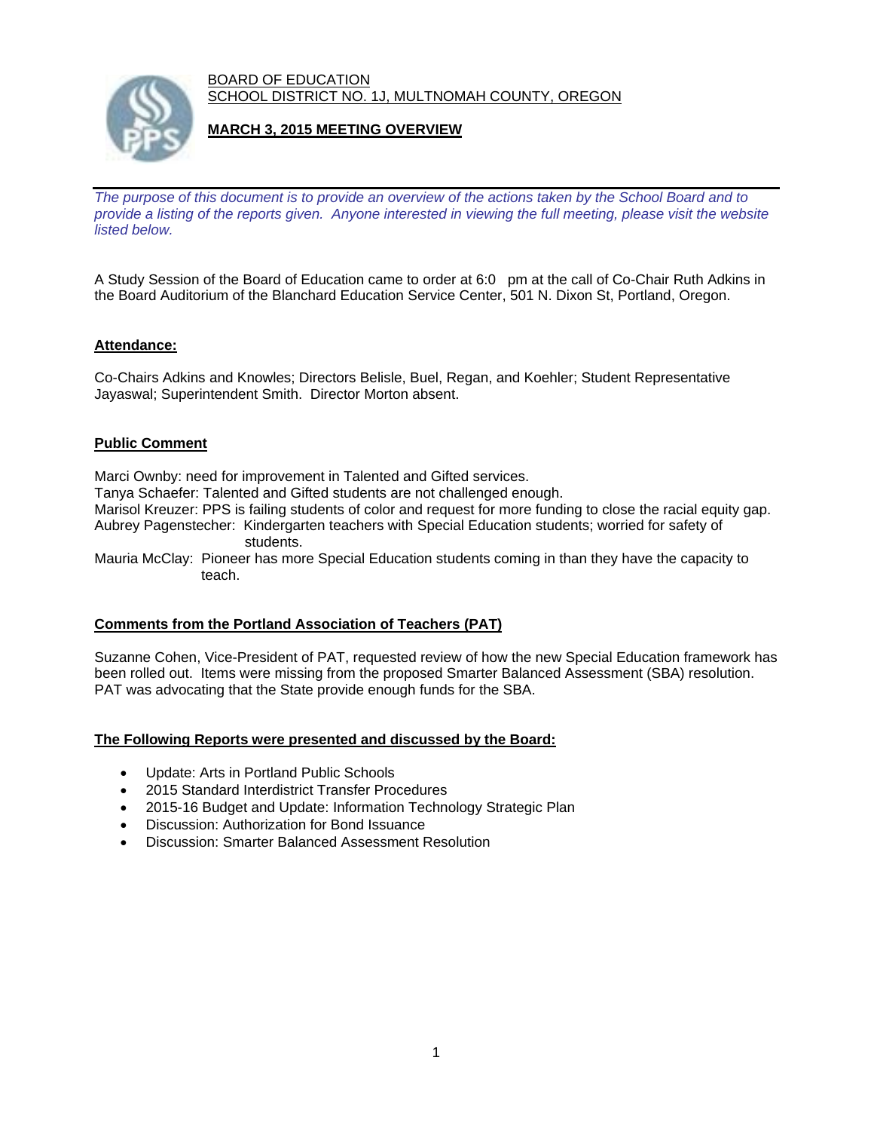BOARD OF EDUCATION SCHOOL DISTRICT NO. 1J, MULTNOMAH COUNTY, OREGON



# **MARCH 3, 2015 MEETING OVERVIEW**

*The purpose of this document is to provide an overview of the actions taken by the School Board and to provide a listing of the reports given. Anyone interested in viewing the full meeting, please visit the website listed below.* 

A Study Session of the Board of Education came to order at 6:0 pm at the call of Co-Chair Ruth Adkins in the Board Auditorium of the Blanchard Education Service Center, 501 N. Dixon St, Portland, Oregon.

## **Attendance:**

Co-Chairs Adkins and Knowles; Directors Belisle, Buel, Regan, and Koehler; Student Representative Jayaswal; Superintendent Smith. Director Morton absent.

### **Public Comment**

Marci Ownby: need for improvement in Talented and Gifted services.

Tanya Schaefer: Talented and Gifted students are not challenged enough.

Marisol Kreuzer: PPS is failing students of color and request for more funding to close the racial equity gap.

Aubrey Pagenstecher: Kindergarten teachers with Special Education students; worried for safety of students.

Mauria McClay: Pioneer has more Special Education students coming in than they have the capacity to teach.

#### **Comments from the Portland Association of Teachers (PAT)**

Suzanne Cohen, Vice-President of PAT, requested review of how the new Special Education framework has been rolled out. Items were missing from the proposed Smarter Balanced Assessment (SBA) resolution. PAT was advocating that the State provide enough funds for the SBA.

#### **The Following Reports were presented and discussed by the Board:**

- Update: Arts in Portland Public Schools
- 2015 Standard Interdistrict Transfer Procedures
- 2015-16 Budget and Update: Information Technology Strategic Plan
- Discussion: Authorization for Bond Issuance
- Discussion: Smarter Balanced Assessment Resolution